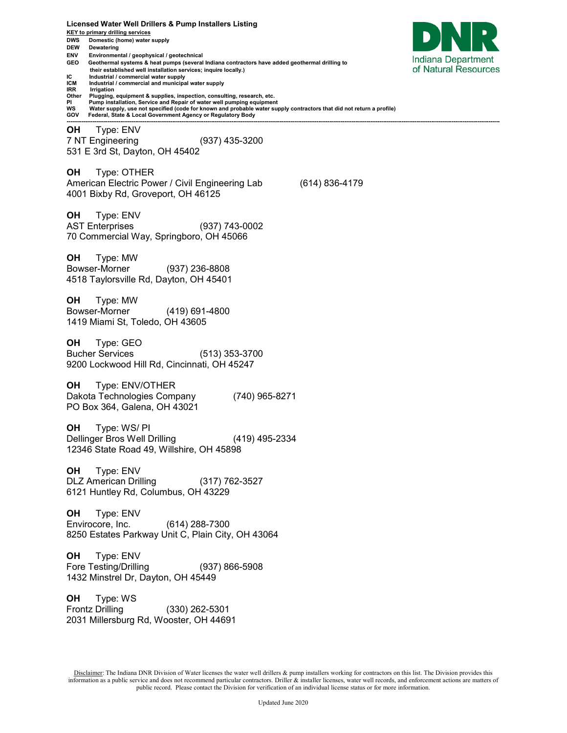**Licensed Water Well Drillers & Pump Installers Listing KEY to primary drilling services DWS Domestic (home) water supply DEW Dewatering ENV Environmental / geophysical / geotechnical**  Indiana Department **GEO Geothermal systems & heat pumps (several Indiana contractors have added geothermal drilling to**  of Natural Resources  **their established well installation services; inquire locally.) IC** Industrial / commercial water supply<br>**ICM** Industrial / commercial and municipal **ICM** Industrial / commercial and municipal water supply<br>**IRR** Irrigation **IRR Irrigation**<br>Other **Plugging Other Plugging, equipment & supplies, inspection, consulting, research, etc. PI Pump installation, Service and Repair of water well pumping equipment WS Water supply, use not specified (code for known and probable water supply contractors that did not return a profile) GOV Federal, State & Local Government Agency or Regulatory Body ------------------------------------------------------------------------------------------------------------------------------------------------------------------------------------------------------------------------------------------ OH** Type: ENV 7 NT Engineering (937) 435-3200 531 E 3rd St, Dayton, OH 45402 **OH** Type: OTHER American Electric Power / Civil Engineering Lab (614) 836-4179 4001 Bixby Rd, Groveport, OH 46125 **OH** Type: ENV AST Enterprises (937) 743-0002 70 Commercial Way, Springboro, OH 45066 **OH** Type: MW Bowser-Morner (937) 236-8808 4518 Taylorsville Rd, Dayton, OH 45401 **OH** Type: MW Bowser-Morner (419) 691-4800 1419 Miami St, Toledo, OH 43605 **OH** Type: GEO Bucher Services (513) 353-3700 9200 Lockwood Hill Rd, Cincinnati, OH 45247 **OH** Type: ENV/OTHER Dakota Technologies Company (740) 965-8271 PO Box 364, Galena, OH 43021 **OH** Type: WS/ PI Dellinger Bros Well Drilling (419) 495-2334 12346 State Road 49, Willshire, OH 45898 **OH** Type: ENV DLZ American Drilling (317) 762-3527 6121 Huntley Rd, Columbus, OH 43229 **OH** Type: ENV Envirocore, Inc. (614) 288-7300 8250 Estates Parkway Unit C, Plain City, OH 43064 **OH** Type: ENV Fore Testing/Drilling (937) 866-5908 1432 Minstrel Dr, Dayton, OH 45449 **OH** Type: WS Frontz Drilling (330) 262-5301 2031 Millersburg Rd, Wooster, OH 44691

Disclaimer: The Indiana DNR Division of Water licenses the water well drillers & pump installers working for contractors on this list. The Division provides this information as a public service and does not recommend particular contractors. Driller & installer licenses, water well records, and enforcement actions are matters of public record. Please contact the Division for verification of an individual license status or for more information.